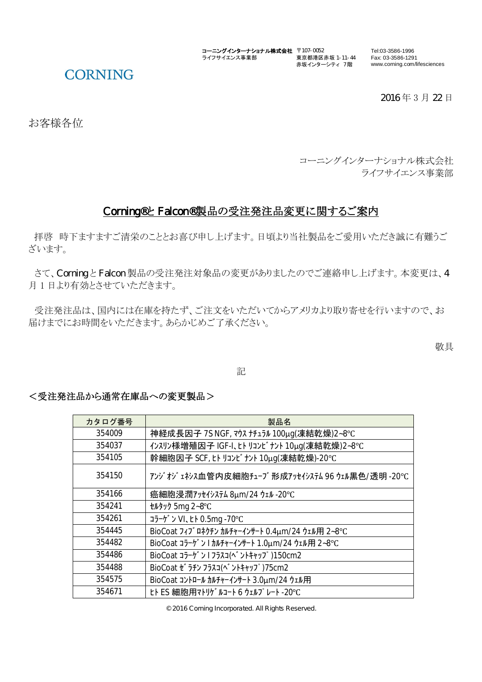コーニングインターナショナル株式会社 〒107-0052 Tel:03-3586-1996 ライフサイエンス事業部 東京都港区赤坂 1-11-44 赤坂インターシティ 7 階

## **CORNING**

2016年3月22日

Fax: 03-3586-1291 www.corning.com/lifesciences

お客様各位

コーニングインターナショナル株式会社 ライフサイエンス事業部

### Corning®と Falcon®製品の受注発注品変更に関するご案内

拝啓 時下ますますご清栄のこととお喜び申し上げます。日頃より当社製品をご愛用いただき誠に有難うご ざいます。

さて、CorningとFalcon 製品の受注発注対象品の変更がありましたのでご連絡申し上げます。本変更は、4 月1日より有効とさせていただきます。

受注発注品は、国内には在庫を持たず、ご注文をいただいてからアメリカより取り寄せを行いますので、お 届けまでにお時間をいただきます。あらかじめご了承ください。

敬具

記

#### <受注発注品から通常在庫品への変更製品>

| カタログ番号 | 製品名                                              |
|--------|--------------------------------------------------|
| 354009 | 神経成長因子 7S NGF, マウス ナチュラル 100μg(凍結乾燥)2~8℃         |
| 354037 | インスリン様増殖因子 IGF-I、ヒト リコンビナント 10μg(凍結乾燥)2~8℃       |
| 354105 | 幹細胞因子 SCF, tト リコンビナント 10μg(凍結乾燥)-20℃             |
| 354150 | アンジオジェネシス血管内皮細胞チューブ形成アッセイシステム 96 ウェル黒色/透明 -20℃   |
| 354166 | 癌細胞浸潤アッセイシステム 8μm/24 ウェル -20℃                    |
| 354241 | セルタック 5mg 2~8°C                                  |
| 354261 | コラーゲン VI、ヒト0.5mg -70°C                           |
| 354445 | BioCoat フィブ ロネクチン カルチャーインサート 0.4µm/24 ウェル用 2~8°C |
| 354482 | BioCoat コラーゲ ン Iカルチャーインサート 1.0µm/24 ウェル用 2~8°C   |
| 354486 | BioCoat コラーゲ ン 1 フラスコ(^ ントキャップ)150cm2            |
| 354488 | BioCoat ゼラチン フラスコ(ベントキャップ)75cm2                  |
| 354575 | BioCoat コントロール カルチャーインサート 3.0µm/24 ウェル用          |
| 354671 | ヒト ES 細胞用マトリゲルコート 6 ウェルプレート -20℃                 |

© 2016 Corning Incorporated. All Rights Reserved.